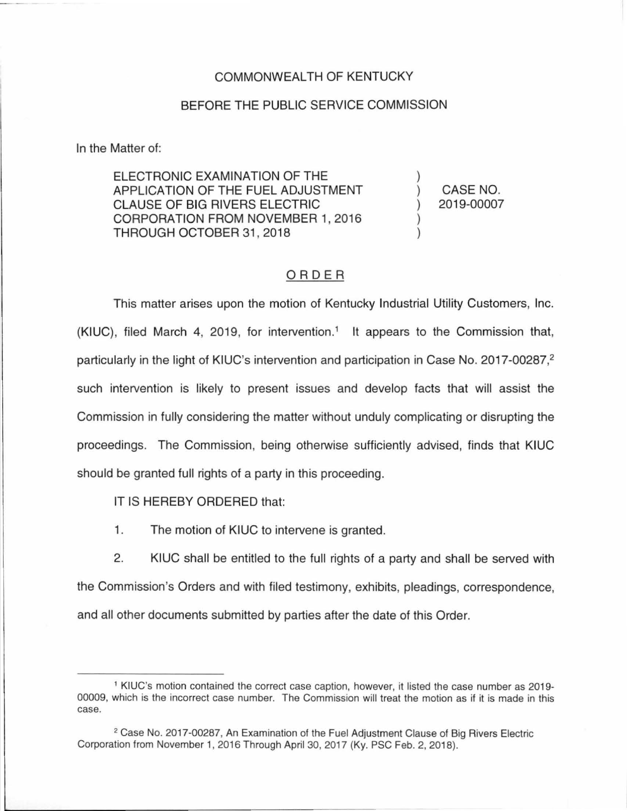### COMMONWEAL TH OF KENTUCKY

### BEFORE THE PUBLIC SERVICE COMMISSION

In the Matter of:

ELECTRONIC EXAMINATION OF THE APPLICATION OF THE FUEL ADJUSTMENT CLAUSE OF BIG RIVERS ELECTRIC CORPORATION FROM NOVEMBER 1, 2016 THROUGH OCTOBER 31 , 2018

) CASE NO. ) 2019-00007

)

) )

## ORDER

This matter arises upon the motion of Kentucky Industrial Utility Customers, Inc. (KIUC), filed March 4, 2019, for intervention.<sup>1</sup> It appears to the Commission that, particularly in the light of KIUC's intervention and participation in Case No. 2017-00287,<sup>2</sup> such intervention is likely to present issues and develop facts that will assist the Commission in fully considering the matter without unduly complicating or disrupting the proceedings. The Commission, being otherwise sufficiently advised, finds that KIUC should be granted full rights of a party in this proceeding.

IT IS HEREBY ORDERED that:

1. The motion of KIUC to intervene is granted.

2. KIUC shall be entitled to the full rights of a party and shall be served with the Commission's Orders and with filed testimony, exhibits, pleadings, correspondence, and all other documents submitted by parties after the date of this Order.

<sup>1</sup>KIUC's motion contained the correct case caption, however, it listed the case number as 2019- 00009, which is the incorrect case number. The Commission will treat the motion as if it is made in this case.

<sup>&</sup>lt;sup>2</sup> Case No. 2017-00287, An Examination of the Fuel Adjustment Clause of Big Rivers Electric Corporation from November 1, 2016 Through April 30, 2017 (Ky. PSC Feb. 2, 2018).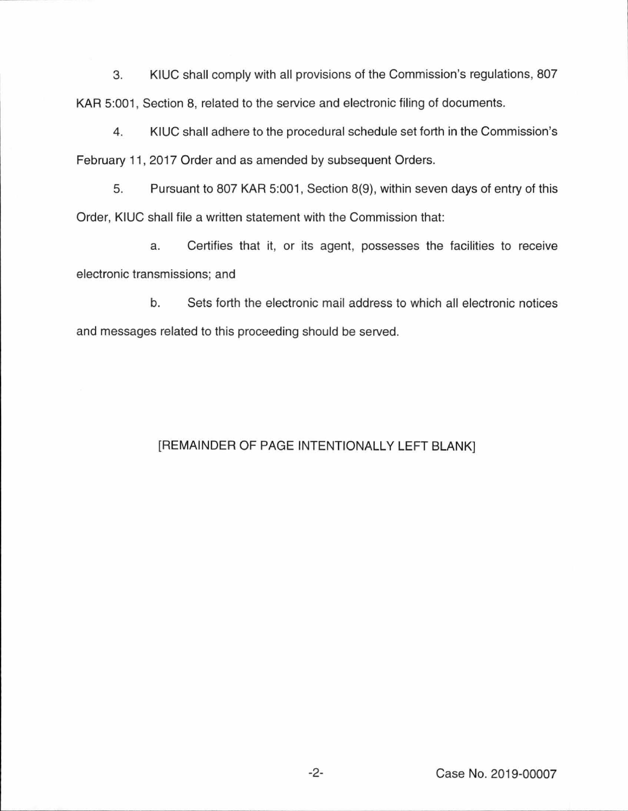3. KIUC shall comply with all provisions of the Commission's regulations, 807 KAR 5:001, Section 8, related to the service and electronic filing of documents.

4. KIUC shall adhere to the procedural schedule set forth in the Commission's February 11, 2017 Order and as amended by subsequent Orders.

5. Pursuant to 807 KAR 5:001, Section 8(9), within seven days of entry of this Order, KIUC shall file a written statement with the Commission that:

a. Certifies that it, or its agent, possesses the facilities to receive electronic transmissions; and

b. Sets forth the electronic mail address to which all electronic notices and messages related to this proceeding should be served.

# [REMAINDER OF PAGE INTENTIONALLY LEFT BLANK]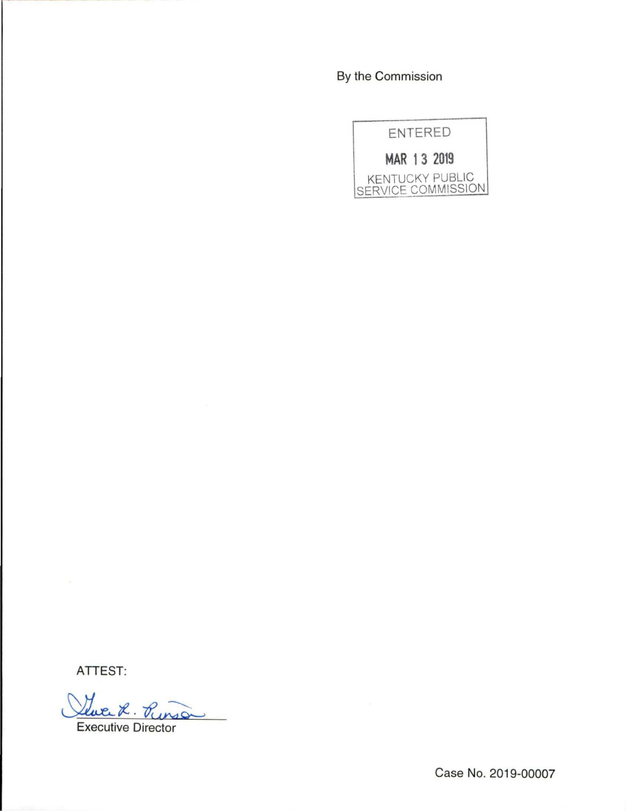# By the Commission



**ATTEST:** 

Leuce 2. Puns Punsa

Case No. 2019-00007